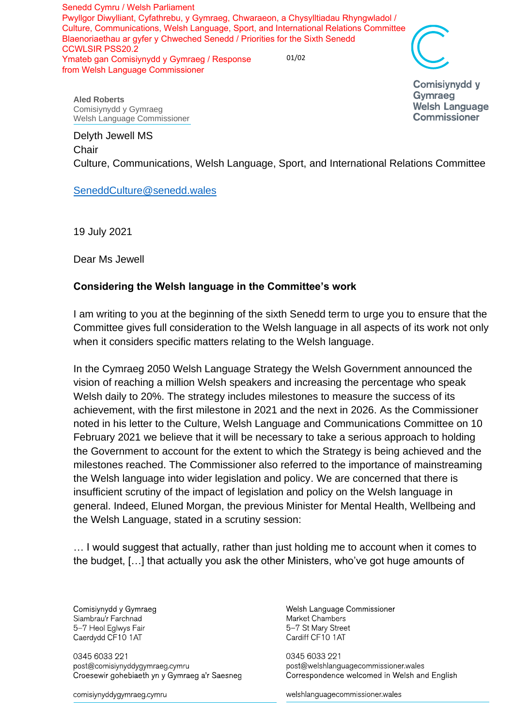01/02 Senedd Cymru / Welsh Parliament Pwyllgor Diwylliant, Cyfathrebu, y Gymraeg, Chwaraeon, a Chysylltiadau Rhyngwladol / Culture, Communications, Welsh Language, Sport, and International Relations Committee Blaenoriaethau ar gyfer y Chweched Senedd / Priorities for the Sixth Senedd CCWLSIR PSS20.2 Ymateb gan Comisiynydd y Gymraeg / Response from Welsh Language Commissioner

**Comisivnydd v** Gymraeg

**Welsh Language Commissioner** 

**Aled Roberts** Comisiynydd y Gymraeg Welsh Language Commissioner

## Delyth Jewell MS **Chair**

Culture, Communications, Welsh Language, Sport, and International Relations Committee

## [SeneddCulture@senedd.wales](mailto:SeneddCulture@senedd.wales)

19 July 2021

Dear Ms Jewell

## **Considering the Welsh language in the Committee's work**

I am writing to you at the beginning of the sixth Senedd term to urge you to ensure that the Committee gives full consideration to the Welsh language in all aspects of its work not only when it considers specific matters relating to the Welsh language.

In the Cymraeg 2050 Welsh Language Strategy the Welsh Government announced the vision of reaching a million Welsh speakers and increasing the percentage who speak Welsh daily to 20%. The strategy includes milestones to measure the success of its achievement, with the first milestone in 2021 and the next in 2026. As the Commissioner noted in his letter to the Culture, Welsh Language and Communications Committee on 10 February 2021 we believe that it will be necessary to take a serious approach to holding the Government to account for the extent to which the Strategy is being achieved and the milestones reached. The Commissioner also referred to the importance of mainstreaming the Welsh language into wider legislation and policy. We are concerned that there is insufficient scrutiny of the impact of legislation and policy on the Welsh language in general. Indeed, Eluned Morgan, the previous Minister for Mental Health, Wellbeing and the Welsh Language, stated in a scrutiny session:

… I would suggest that actually, rather than just holding me to account when it comes to the budget, […] that actually you ask the other Ministers, who've got huge amounts of

Comisiynydd y Gymraeg Siambrau'r Farchnad 5-7 Heol Eglwys Fair Caerdydd CF10 1AT

0345 6033 221 post@comisiynyddygymraeg.cymru Croesewir gohebiaeth yn y Gymraeg a'r Saesneg

comisiynyddygymraeg.cymru

Welsh Language Commissioner Market Chambers 5-7 St Mary Street Cardiff CF10 1AT

0345 6033 221 post@welshlanguagecommissioner.wales Correspondence welcomed in Welsh and English

welshlanguagecommissioner wales